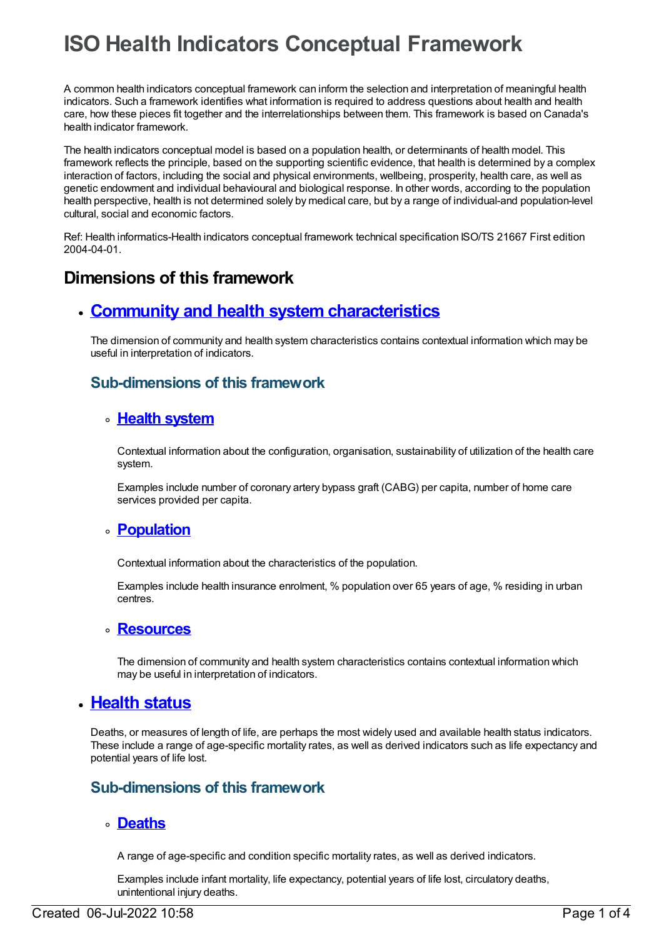# **ISO Health Indicators Conceptual Framework**

A common health indicators conceptual framework can inform the selection and interpretation of meaningful health indicators. Such a framework identifies what information is required to address questions about health and health care, how these pieces fit together and the interrelationships between them. This framework is based on Canada's health indicator framework.

The health indicators conceptual model is based on a population health, or determinants of health model. This framework reflects the principle, based on the supporting scientific evidence, that health is determined by a complex interaction of factors, including the social and physical environments, wellbeing, prosperity, health care, as well as genetic endowment and individual behavioural and biological response. In other words, according to the population health perspective, health is not determined solely by medical care, but by a range of individual-and population-level cultural, social and economic factors.

Ref: Health informatics-Health indicators conceptual framework technical specification ISO/TS 21667 First edition 2004-04-01.

# **Dimensions of this framework**

## **Community and health system [characteristics](https://meteor.aihw.gov.au/content/392638)**

The dimension of community and health system characteristics contains contextual information which may be useful in interpretation of indicators.

## **Sub-dimensions of this framework**

## **Health [system](https://meteor.aihw.gov.au/content/392643)**

Contextual information about the configuration, organisation, sustainability of utilization of the health care system.

Examples include number of coronary artery bypass graft (CABG) per capita, number of home care services provided per capita.

## **[Population](https://meteor.aihw.gov.au/content/392642)**

Contextual information about the characteristics of the population.

Examples include health insurance enrolment, % population over 65 years of age, % residing in urban centres.

#### **[Resources](https://meteor.aihw.gov.au/content/392639)**

The dimension of community and health system characteristics contains contextual information which may be useful in interpretation of indicators.

## **[Health](https://meteor.aihw.gov.au/content/392633) status**

Deaths, or measures of length of life, are perhaps the most widely used and available health status indicators. These include a range of age-specific mortality rates, as well as derived indicators such as life expectancy and potential years of life lost.

## **Sub-dimensions of this framework**

## **[Deaths](https://meteor.aihw.gov.au/content/392637)**

A range of age-specific and condition specific mortality rates, as well as derived indicators.

Examples include infant mortality, life expectancy, potential years of life lost, circulatory deaths, unintentional injury deaths.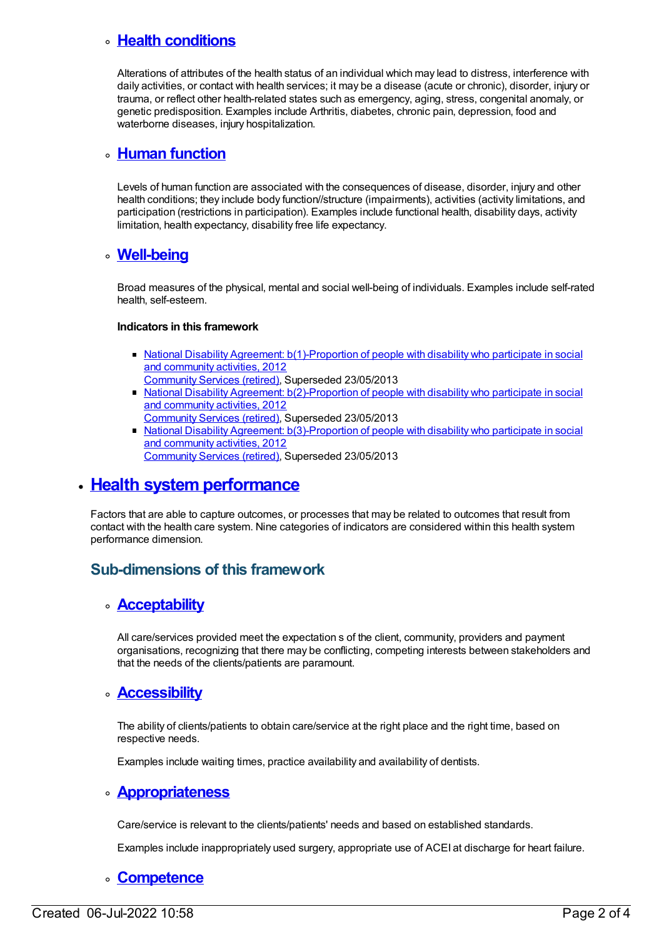## **Health [conditions](https://meteor.aihw.gov.au/content/392636)**

Alterations of attributes of the health status of an individual which may lead to distress, interference with daily activities, or contact with health services; it may be a disease (acute or chronic), disorder, injury or trauma, or reflect other health-related states such as emergency, aging, stress, congenital anomaly, or genetic predisposition. Examples include Arthritis, diabetes, chronic pain, depression, food and waterborne diseases, injury hospitalization.

#### **Human [function](https://meteor.aihw.gov.au/content/392635)**

Levels of human function are associated with the consequences of disease, disorder, injury and other health conditions; they include body function//structure (impairments), activities (activity limitations, and participation (restrictions in participation). Examples include functional health, disability days, activity limitation, health expectancy, disability free life expectancy.

#### **[Well-being](https://meteor.aihw.gov.au/content/392634)**

Broad measures of the physical, mental and social well-being of individuals. Examples include self-rated health, self-esteem.

#### **Indicators in this framework**

- National Disability Agreement: [b\(1\)-Proportion](https://meteor.aihw.gov.au/content/467834) of people with disability who participate in social and community activities, 2012 [Community](https://meteor.aihw.gov.au/RegistrationAuthority/1) Services (retired), Superseded 23/05/2013
- National Disability Agreement: [b\(2\)-Proportion](https://meteor.aihw.gov.au/content/475220) of people with disability who participate in social and community activities, 2012 [Community](https://meteor.aihw.gov.au/RegistrationAuthority/1) Services (retired), Superseded 23/05/2013
- National Disability Agreement: [b\(3\)-Proportion](https://meteor.aihw.gov.au/content/475222) of people with disability who participate in social and community activities, 2012 [Community](https://meteor.aihw.gov.au/RegistrationAuthority/1) Services (retired), Superseded 23/05/2013

## **Health system [performance](https://meteor.aihw.gov.au/content/392624)**

Factors that are able to capture outcomes, or processes that may be related to outcomes that result from contact with the health care system. Nine categories of indicators are considered within this health system performance dimension.

## **Sub-dimensions of this framework**

#### **[Acceptability](https://meteor.aihw.gov.au/content/392632)**

All care/services provided meet the expectation s of the client, community, providers and payment organisations, recognizing that there may be conflicting, competing interests between stakeholders and that the needs of the clients/patients are paramount.

#### **[Accessibility](https://meteor.aihw.gov.au/content/392631)**

The ability of clients/patients to obtain care/service at the right place and the right time, based on respective needs.

Examples include waiting times, practice availability and availability of dentists.

#### **[Appropriateness](https://meteor.aihw.gov.au/content/392630)**

Care/service is relevant to the clients/patients' needs and based on established standards.

Examples include inappropriately used surgery, appropriate use of ACEI at discharge for heart failure.

#### **[Competence](https://meteor.aihw.gov.au/content/392629)**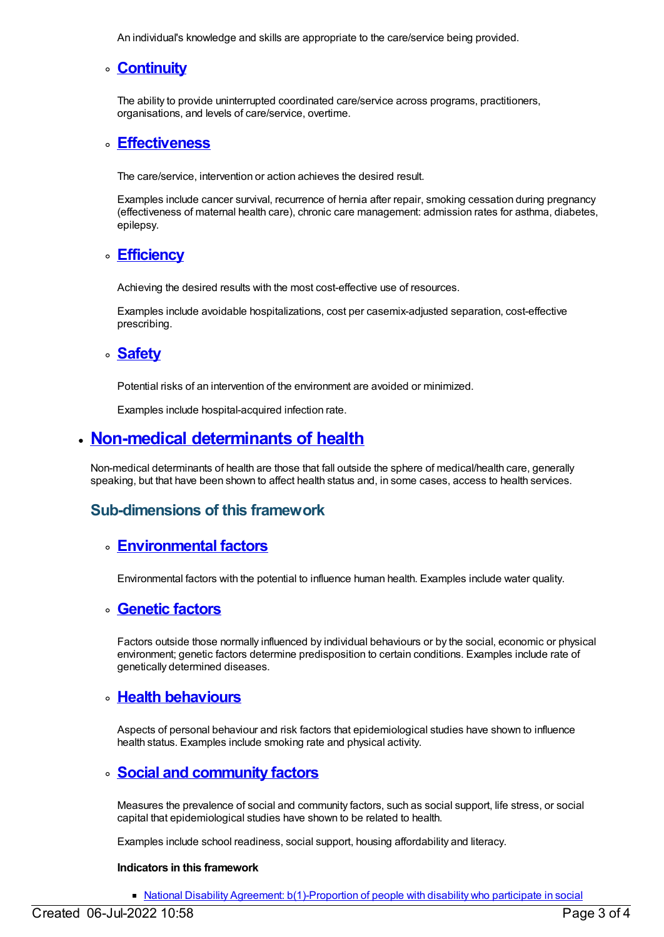An individual's knowledge and skills are appropriate to the care/service being provided.

## **[Continuity](https://meteor.aihw.gov.au/content/392628)**

The ability to provide uninterrupted coordinated care/service across programs, practitioners, organisations, and levels of care/service, overtime.

#### **[Effectiveness](https://meteor.aihw.gov.au/content/392627)**

The care/service, intervention or action achieves the desired result.

Examples include cancer survival, recurrence of hernia after repair, smoking cessation during pregnancy (effectiveness of maternal health care), chronic care management: admission rates for asthma, diabetes, epilepsy.

#### **[Efficiency](https://meteor.aihw.gov.au/content/392626)**

Achieving the desired results with the most cost-effective use of resources.

Examples include avoidable hospitalizations, cost per casemix-adjusted separation, cost-effective prescribing.

#### **[Safety](https://meteor.aihw.gov.au/content/392625)**

Potential risks of an intervention of the environment are avoided or minimized.

Examples include hospital-acquired infection rate.

# **Non-medical [determinants](https://meteor.aihw.gov.au/content/392618) of health**

Non-medical determinants of health are those that fall outside the sphere of medical/health care, generally speaking, but that have been shown to affect health status and, in some cases, access to health services.

## **Sub-dimensions of this framework**

## **[Environmental](https://meteor.aihw.gov.au/content/392623) factors**

Environmental factors with the potential to influence human health. Examples include water quality.

#### **[Genetic](https://meteor.aihw.gov.au/content/392622) factors**

Factors outside those normally influenced by individual behaviours or by the social, economic or physical environment; genetic factors determine predisposition to certain conditions. Examples include rate of genetically determined diseases.

## **Health [behaviours](https://meteor.aihw.gov.au/content/392621)**

Aspects of personal behaviour and risk factors that epidemiological studies have shown to influence health status. Examples include smoking rate and physical activity.

## **Social and [community](https://meteor.aihw.gov.au/content/392620) factors**

Measures the prevalence of social and community factors, such as social support, life stress, or social capital that epidemiological studies have shown to be related to health.

Examples include school readiness, social support, housing affordability and literacy.

#### **Indicators in this framework**

• National Disability Agreement: [b\(1\)-Proportion](https://meteor.aihw.gov.au/content/467834) of people with disability who participate in social